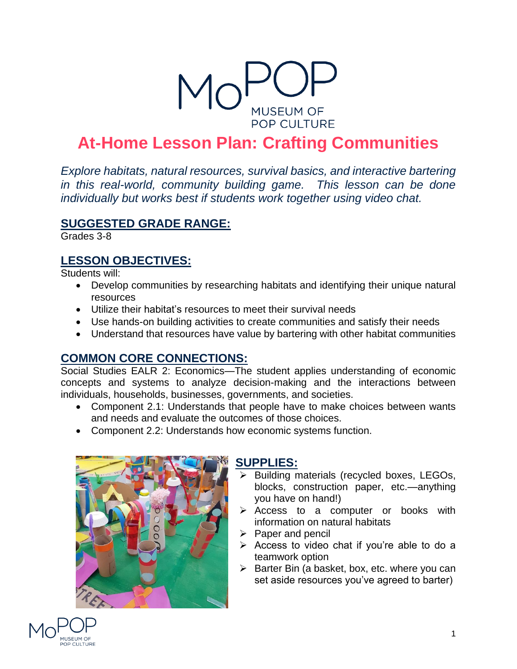

# **At-Home Lesson Plan: Crafting Communities**

*Explore habitats, natural resources, survival basics, and interactive bartering in this real-world, community building game. This lesson can be done individually but works best if students work together using video chat.*

#### **SUGGESTED GRADE RANGE:**

Grades 3-8

### **LESSON OBJECTIVES:**

Students will:

- Develop communities by researching habitats and identifying their unique natural resources
- Utilize their habitat's resources to meet their survival needs
- Use hands-on building activities to create communities and satisfy their needs
- Understand that resources have value by bartering with other habitat communities

## **COMMON CORE CONNECTIONS:**

Social Studies EALR 2: Economics—The student applies understanding of economic concepts and systems to analyze decision-making and the interactions between individuals, households, businesses, governments, and societies.

- Component 2.1: Understands that people have to make choices between wants and needs and evaluate the outcomes of those choices.
- Component 2.2: Understands how economic systems function.



#### **SUPPLIES:**

- ➢ Building materials (recycled boxes, LEGOs, blocks, construction paper, etc.—anything you have on hand!)
- ➢ Access to a computer or books with information on natural habitats
- ➢ Paper and pencil
- ➢ Access to video chat if you're able to do a teamwork option
- $\triangleright$  Barter Bin (a basket, box, etc. where you can set aside resources you've agreed to barter)

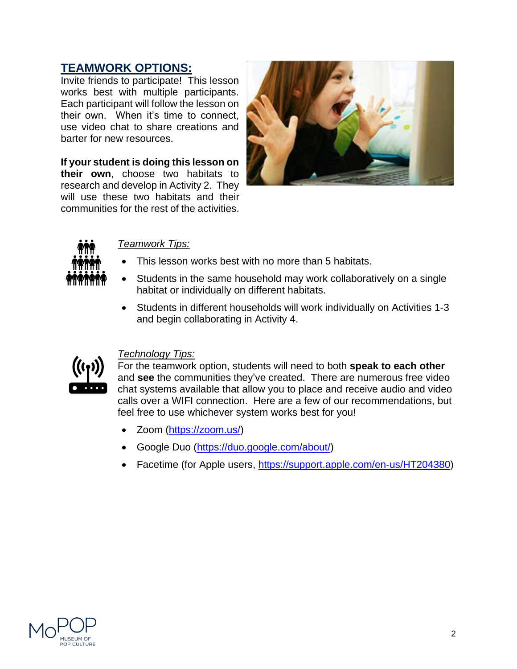### **TEAMWORK OPTIONS:**

Invite friends to participate! This lesson works best with multiple participants. Each participant will follow the lesson on their own. When it's time to connect, use video chat to share creations and barter for new resources.

**If your student is doing this lesson on their own**, choose two habitats to research and develop in Activity 2. They will use these two habitats and their communities for the rest of the activities.





#### *Teamwork Tips:*

- This lesson works best with no more than 5 habitats.
- Students in the same household may work collaboratively on a single habitat or individually on different habitats.
- Students in different households will work individually on Activities 1-3 and begin collaborating in Activity 4.



#### *Technology Tips:*

For the teamwork option, students will need to both **speak to each other** and **see** the communities they've created. There are numerous free video chat systems available that allow you to place and receive audio and video calls over a WIFI connection. Here are a few of our recommendations, but feel free to use whichever system works best for you!

- Zoom [\(https://zoom.us/\)](https://zoom.us/)
- Google Duo [\(https://duo.google.com/about/\)](https://duo.google.com/about/)
- Facetime (for Apple users, [https://support.apple.com/en-us/HT204380\)](https://support.apple.com/en-us/HT204380)

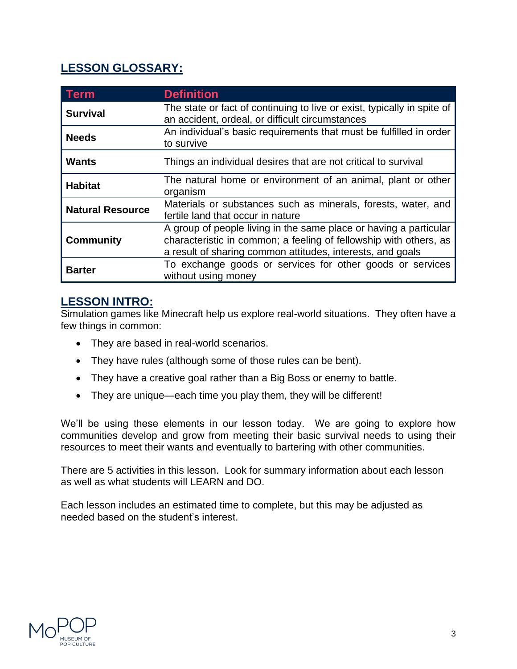# **LESSON GLOSSARY:**

| <b>Term</b>             | <b>Definition</b>                                                                                                                                                                                    |
|-------------------------|------------------------------------------------------------------------------------------------------------------------------------------------------------------------------------------------------|
| <b>Survival</b>         | The state or fact of continuing to live or exist, typically in spite of<br>an accident, ordeal, or difficult circumstances                                                                           |
| <b>Needs</b>            | An individual's basic requirements that must be fulfilled in order<br>to survive                                                                                                                     |
| <b>Wants</b>            | Things an individual desires that are not critical to survival                                                                                                                                       |
| <b>Habitat</b>          | The natural home or environment of an animal, plant or other<br>organism                                                                                                                             |
| <b>Natural Resource</b> | Materials or substances such as minerals, forests, water, and<br>fertile land that occur in nature                                                                                                   |
| <b>Community</b>        | A group of people living in the same place or having a particular<br>characteristic in common; a feeling of fellowship with others, as<br>a result of sharing common attitudes, interests, and goals |
| <b>Barter</b>           | To exchange goods or services for other goods or services<br>without using money                                                                                                                     |

### **LESSON INTRO:**

Simulation games like Minecraft help us explore real-world situations. They often have a few things in common:

- They are based in real-world scenarios.
- They have rules (although some of those rules can be bent).
- They have a creative goal rather than a Big Boss or enemy to battle.
- They are unique—each time you play them, they will be different!

We'll be using these elements in our lesson today. We are going to explore how communities develop and grow from meeting their basic survival needs to using their resources to meet their wants and eventually to bartering with other communities.

There are 5 activities in this lesson. Look for summary information about each lesson as well as what students will LEARN and DO.

Each lesson includes an estimated time to complete, but this may be adjusted as needed based on the student's interest.

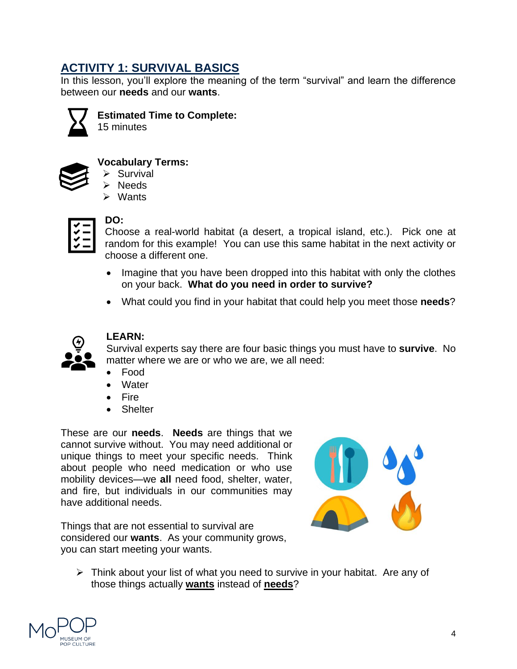## **ACTIVITY 1: SURVIVAL BASICS**

In this lesson, you'll explore the meaning of the term "survival" and learn the difference between our **needs** and our **wants**.



**Estimated Time to Complete:**

15 minutes



#### **Vocabulary Terms:**

- ➢ Survival
- ➢ Needs
- ➢ Wants

#### **DO:**

Choose a real-world habitat (a desert, a tropical island, etc.). Pick one at random for this example! You can use this same habitat in the next activity or choose a different one.

- Imagine that you have been dropped into this habitat with only the clothes on your back. **What do you need in order to survive?**
- What could you find in your habitat that could help you meet those **needs**?



#### **LEARN:**

Survival experts say there are four basic things you must have to **survive**. No matter where we are or who we are, we all need:

- Food
- **Water**
- Fire
- Shelter

These are our **needs**. **Needs** are things that we cannot survive without. You may need additional or unique things to meet your specific needs. Think about people who need medication or who use mobility devices—we **all** need food, shelter, water, and fire, but individuals in our communities may have additional needs.



Things that are not essential to survival are considered our **wants**. As your community grows, you can start meeting your wants.

➢ Think about your list of what you need to survive in your habitat. Are any of those things actually **wants** instead of **needs**?

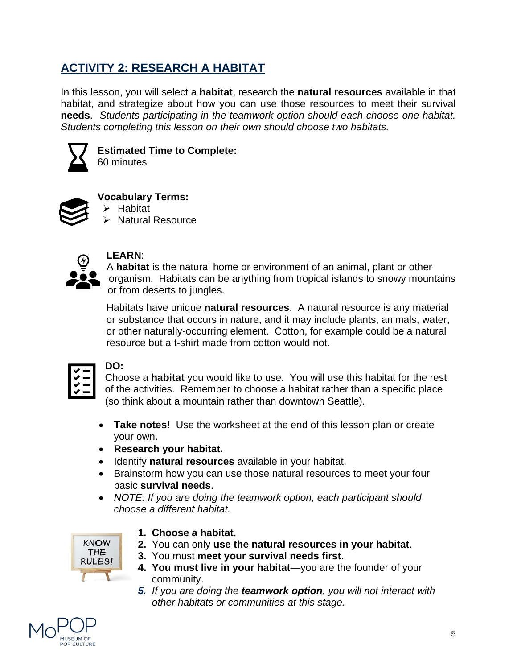# **ACTIVITY 2: RESEARCH A HABITAT**

In this lesson, you will select a **habitat**, research the **natural resources** available in that habitat, and strategize about how you can use those resources to meet their survival **needs**. *Students participating in the teamwork option should each choose one habitat. Students completing this lesson on their own should choose two habitats.* 



**Estimated Time to Complete:** 60 minutes



**Vocabulary Terms:**

- ➢ Habitat
- ➢ Natural Resource



#### **LEARN**:

A **habitat** is the natural home or environment of an animal, plant or other organism. Habitats can be anything from tropical islands to snowy mountains or from deserts to jungles.

Habitats have unique **natural resources**. A natural resource is any material or substance that occurs in nature, and it may include plants, animals, water, or other naturally-occurring element. Cotton, for example could be a natural resource but a t-shirt made from cotton would not.

#### **DO:**

Choose a **habitat** you would like to use. You will use this habitat for the rest of the activities. Remember to choose a habitat rather than a specific place (so think about a mountain rather than downtown Seattle).

- **Take notes!** Use the worksheet at the end of this lesson plan or create your own.
- **Research your habitat.**
- Identify **natural resources** available in your habitat.
- Brainstorm how you can use those natural resources to meet your four basic **survival needs**.
- *NOTE: If you are doing the teamwork option, each participant should choose a different habitat.*



#### **1. Choose a habitat**.

- **2.** You can only **use the natural resources in your habitat**.
- **3.** You must **meet your survival needs first**.
- **4. You must live in your habitat**—you are the founder of your community.
- *5. If you are doing the teamwork option, you will not interact with other habitats or communities at this stage.*

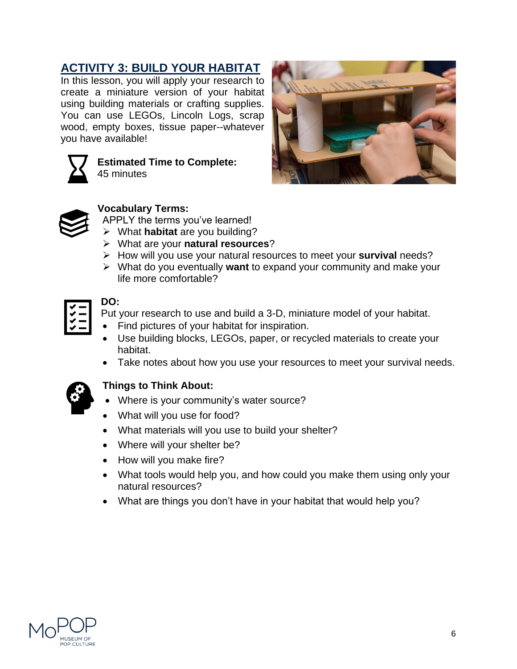## **ACTIVITY 3: BUILD YOUR HABITAT**

In this lesson, you will apply your research to create a miniature version of your habitat using building materials or crafting supplies. You can use LEGOs, Lincoln Logs, scrap wood, empty boxes, tissue paper--whatever you have available!



**Estimated Time to Complete:** 45 minutes





#### **Vocabulary Terms:**

- APPLY the terms you've learned!
- ➢ What **habitat** are you building?
- ➢ What are your **natural resources**?
- ➢ How will you use your natural resources to meet your **survival** needs?
- ➢ What do you eventually **want** to expand your community and make your life more comfortable?

#### **DO:**

Put your research to use and build a 3-D, miniature model of your habitat.

- Find pictures of your habitat for inspiration.
- Use building blocks, LEGOs, paper, or recycled materials to create your habitat.
- Take notes about how you use your resources to meet your survival needs.



#### **Things to Think About:**

- Where is your community's water source?
- What will you use for food?
- What materials will you use to build your shelter?
- Where will your shelter be?
- How will you make fire?
- What tools would help you, and how could you make them using only your natural resources?
- What are things you don't have in your habitat that would help you?

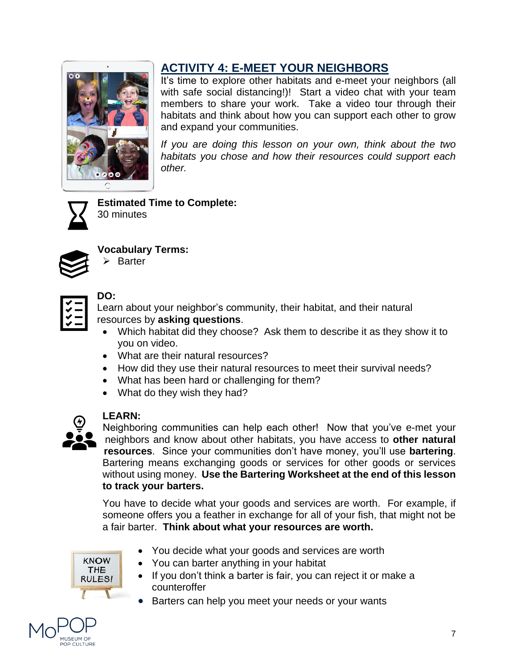

# **ACTIVITY 4: E-MEET YOUR NEIGHBORS**

It's time to explore other habitats and e-meet your neighbors (all with safe social distancing!)! Start a video chat with your team members to share your work. Take a video tour through their habitats and think about how you can support each other to grow and expand your communities.

*If you are doing this lesson on your own, think about the two habitats you chose and how their resources could support each other.*



**Estimated Time to Complete:** 30 minutes



**Vocabulary Terms:**

| Barter |
|--------|
|        |

| v |  |
|---|--|
| ✔ |  |
|   |  |
| v |  |
|   |  |

#### **DO:**

Learn about your neighbor's community, their habitat, and their natural resources by **asking questions**.

- Which habitat did they choose? Ask them to describe it as they show it to you on video.
- What are their natural resources?
- How did they use their natural resources to meet their survival needs?
- What has been hard or challenging for them?
- What do they wish they had?



#### **LEARN:**

Neighboring communities can help each other! Now that you've e-met your neighbors and know about other habitats, you have access to **other natural resources**. Since your communities don't have money, you'll use **bartering**. Bartering means exchanging goods or services for other goods or services without using money. **Use the Bartering Worksheet at the end of this lesson to track your barters.**

You have to decide what your goods and services are worth. For example, if someone offers you a feather in exchange for all of your fish, that might not be a fair barter. **Think about what your resources are worth.**



- You decide what your goods and services are worth
- You can barter anything in your habitat
- If you don't think a barter is fair, you can reject it or make a counteroffer
- Barters can help you meet your needs or your wants

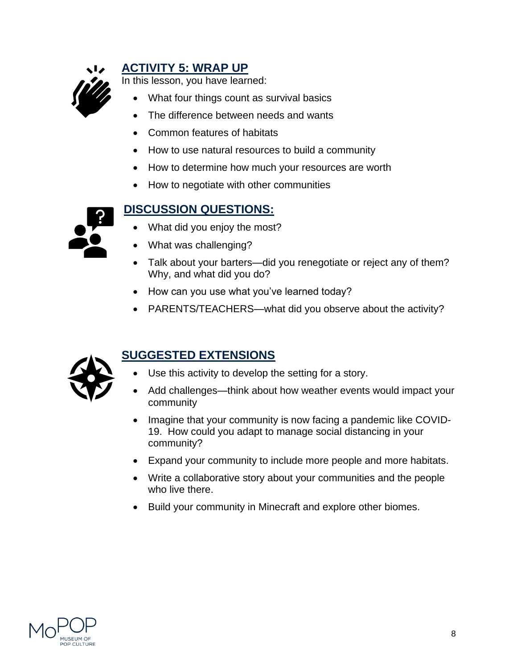

### **ACTIVITY 5: WRAP UP**

In this lesson, you have learned:

- What four things count as survival basics
- The difference between needs and wants
- Common features of habitats
- How to use natural resources to build a community
- How to determine how much your resources are worth
- How to negotiate with other communities



### **DISCUSSION QUESTIONS:**

- What did you enjoy the most?
- What was challenging?
- Talk about your barters—did you renegotiate or reject any of them? Why, and what did you do?
- How can you use what you've learned today?
- PARENTS/TEACHERS—what did you observe about the activity?



# **SUGGESTED EXTENSIONS**

- Use this activity to develop the setting for a story.
- Add challenges—think about how weather events would impact your community
- Imagine that your community is now facing a pandemic like COVID-19. How could you adapt to manage social distancing in your community?
- Expand your community to include more people and more habitats.
- Write a collaborative story about your communities and the people who live there.
- Build your community in Minecraft and explore other biomes.

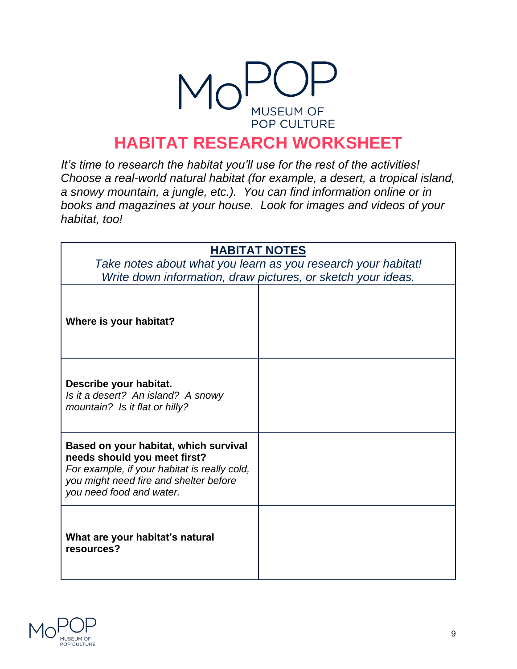

# **HABITAT RESEARCH WORKSHEET**

*It's time to research the habitat you'll use for the rest of the activities! Choose a real-world natural habitat (for example, a desert, a tropical island, a snowy mountain, a jungle, etc.). You can find information online or in books and magazines at your house. Look for images and videos of your habitat, too!*

| <b>HABITAT NOTES</b>                                                                                                                                                                        |  |  |
|---------------------------------------------------------------------------------------------------------------------------------------------------------------------------------------------|--|--|
| Take notes about what you learn as you research your habitat!<br>Write down information, draw pictures, or sketch your ideas.                                                               |  |  |
| Where is your habitat?                                                                                                                                                                      |  |  |
| Describe your habitat.<br>Is it a desert? An island? A snowy<br>mountain? Is it flat or hilly?                                                                                              |  |  |
| Based on your habitat, which survival<br>needs should you meet first?<br>For example, if your habitat is really cold,<br>you might need fire and shelter before<br>you need food and water. |  |  |
| What are your habitat's natural<br>resources?                                                                                                                                               |  |  |

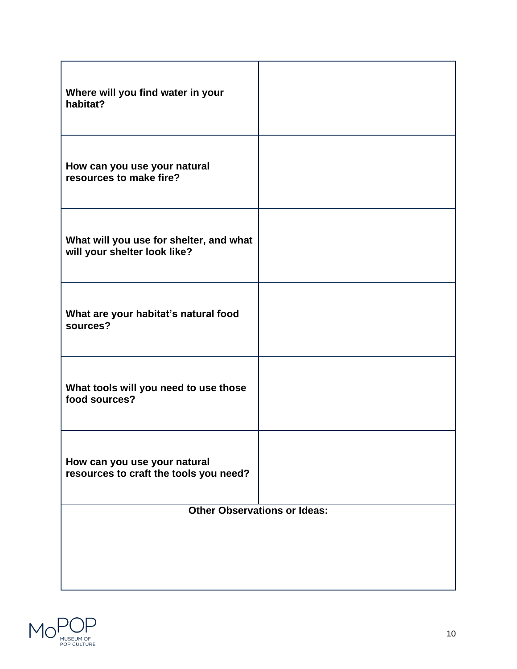| Where will you find water in your<br>habitat?                           |  |  |
|-------------------------------------------------------------------------|--|--|
| How can you use your natural<br>resources to make fire?                 |  |  |
| What will you use for shelter, and what<br>will your shelter look like? |  |  |
| What are your habitat's natural food<br>sources?                        |  |  |
| What tools will you need to use those<br>food sources?                  |  |  |
| How can you use your natural<br>resources to craft the tools you need?  |  |  |
| <b>Other Observations or Ideas:</b>                                     |  |  |
|                                                                         |  |  |